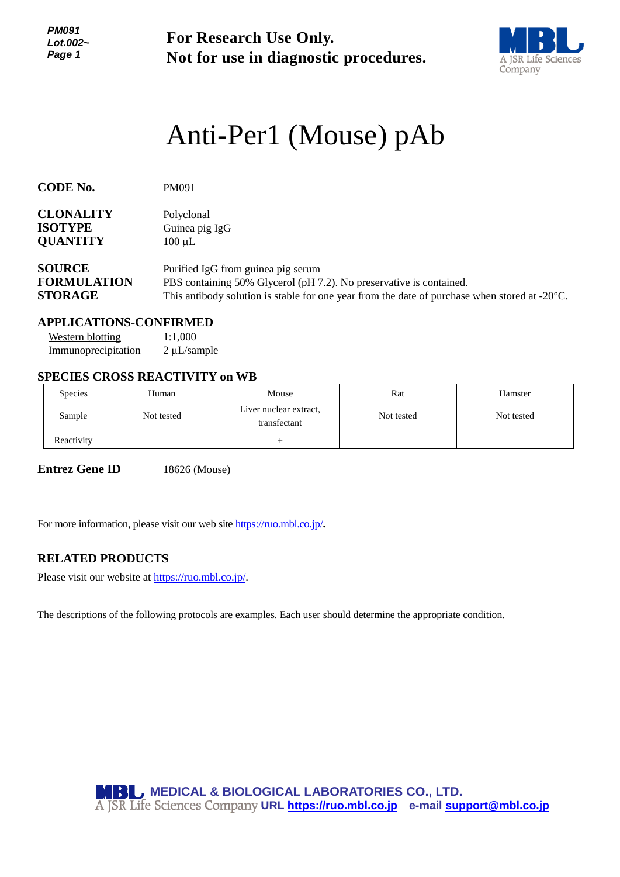| PM091    |
|----------|
| Lot.002~ |
| Page 1   |

*P* **Not for use in diagnostic procedures. For Research Use Only.**



# *2* Anti-Per1 (Mouse) pAb

| <b>CODE No.</b>    | PM091                                                                                                   |
|--------------------|---------------------------------------------------------------------------------------------------------|
| <b>CLONALITY</b>   | Polyclonal                                                                                              |
| <b>ISOTYPE</b>     | Guinea pig IgG                                                                                          |
| <b>QUANTITY</b>    | $100 \mu L$                                                                                             |
| <b>SOURCE</b>      | Purified IgG from guinea pig serum                                                                      |
| <b>FORMULATION</b> | PBS containing 50% Glycerol (pH 7.2). No preservative is contained.                                     |
| <b>STORAGE</b>     | This antibody solution is stable for one year from the date of purchase when stored at $-20^{\circ}$ C. |

#### **APPLICATIONS-CONFIRMED**

| Western blotting    | 1:1,000           |
|---------------------|-------------------|
| Immunoprecipitation | $2 \mu L$ /sample |

### **SPECIES CROSS REACTIVITY on WB**

| <b>Species</b> | Human      | Mouse                                  | Rat        | Hamster    |
|----------------|------------|----------------------------------------|------------|------------|
| Sample         | Not tested | Liver nuclear extract,<br>transfectant | Not tested | Not tested |
| Reactivity     |            |                                        |            |            |

**Entrez Gene ID** 18626 (Mouse)

For more information, please visit our web site <https://ruo.mbl.co.jp/>**.**

#### **RELATED PRODUCTS**

Please visit our website a[t https://ruo.mbl.co.jp/.](https://ruo.mbl.co.jp/)

The descriptions of the following protocols are examples. Each user should determine the appropriate condition.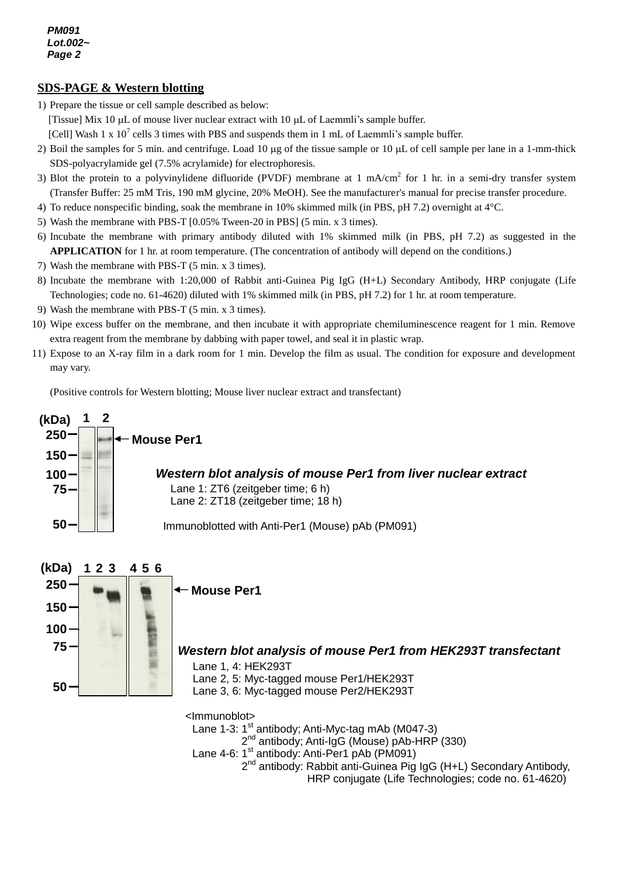*PM091 Lot.002~ Page 2*

## *g* **SDS-PAGE & Western blotting**

- 1) Prepare the tissue or cell sample described as below:
- [Tissue] Mix 10  $\mu$ L of mouse liver nuclear extract with 10  $\mu$ L of Laemmli's sample buffer.
	- [Fissac] Mix 10  $\mu$  of model from national extract with 10  $\mu$  of Laemmin's sample buffer.<br>[Cell] Wash 1 x 10<sup>7</sup> cells 3 times with PBS and suspends them in 1 mL of Laemmii's sample buffer.
- 2) Boil the samples for 5 min. and centrifuge. Load 10  $\mu$ g of the tissue sample or 10  $\mu$ L of cell sample per lane in a 1-mm-thick SDS-polyacrylamide gel (7.5% acrylamide) for electrophoresis.
- 3) Blot the protein to a polyvinylidene difluoride (PVDF) membrane at 1 mA/cm<sup>2</sup> for 1 hr. in a semi-dry transfer system (Transfer Buffer: 25 mM Tris, 190 mM glycine, 20% MeOH). See the manufacturer's manual for precise transfer procedure.
- 4) To reduce nonspecific binding, soak the membrane in 10% skimmed milk (in PBS, pH 7.2) overnight at 4°C.
- 5) Wash the membrane with PBS-T [0.05% Tween-20 in PBS] (5 min. x 3 times).
- 6) Incubate the membrane with primary antibody diluted with 1% skimmed milk (in PBS, pH 7.2) as suggested in the **APPLICATION** for 1 hr. at room temperature. (The concentration of antibody will depend on the conditions.)
- 7) Wash the membrane with PBS-T (5 min. x 3 times).
- 8) Incubate the membrane with 1:20,000 of Rabbit anti-Guinea Pig IgG (H+L) Secondary Antibody, HRP conjugate (Life Technologies; code no. 61-4620) diluted with 1% skimmed milk (in PBS, pH 7.2) for 1 hr. at room temperature.
- 9) Wash the membrane with PBS-T (5 min. x 3 times).
- 10) Wipe excess buffer on the membrane, and then incubate it with appropriate chemiluminescence reagent for 1 min. Remove extra reagent from the membrane by dabbing with paper towel, and seal it in plastic wrap.
- 11) Expose to an X-ray film in a dark room for 1 min. Develop the film as usual. The condition for exposure and development may vary.

(Positive controls for Western blotting; Mouse liver nuclear extract and transfectant)





- Lane 4-6: 1<sup>st</sup> antibody: Anti-Per1 pAb (PM091)
	- 2<sup>nd</sup> antibody: Rabbit anti-Guinea Pig IgG (H+L) Secondary Antibody,

HRP conjugate (Life Technologies; code no. 61-4620)